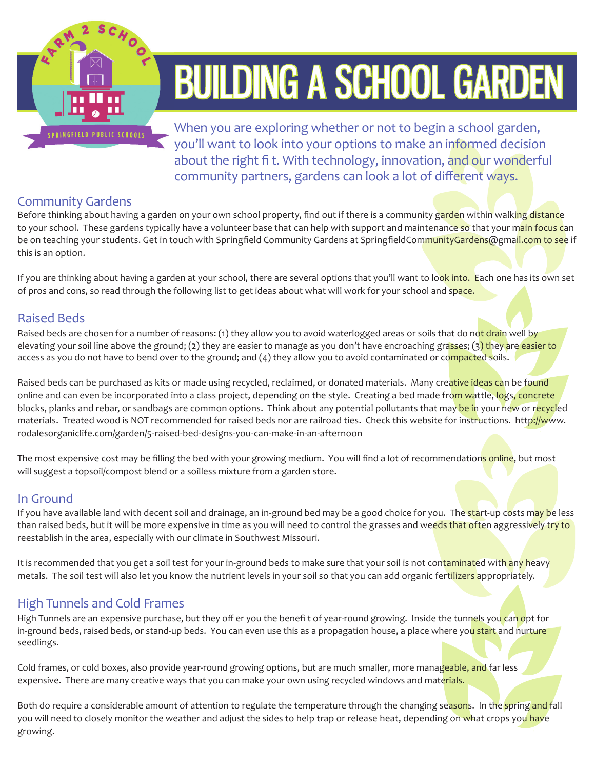

# BUILDING A SCHOOL GARDEN

When you are exploring whether or not to begin a school garden, you'll want to look into your options to make an informed decision about the right fi t. With technology, innovation, and our wonderful community partners, gardens can look a lot of different ways.

# Community Gardens

Before thinking about having a garden on your own school property, find out if there is a community garden within walking distance to your school. These gardens typically have a volunteer base that can help with support and maintenance so that your main focus can be on teaching your students. Get in touch with Springfield Community Gardens at SpringfieldCommunityGardens@gmail.com to see if this is an option.

If you are thinking about having a garden at your school, there are several options that you'll want to look into. Each one has its own set of pros and cons, so read through the following list to get ideas about what will work for your school and space.

## Raised Beds

Raised beds are chosen for a number of reasons: (1) they allow you to avoid waterlogged areas or soils that do not drain well by elevating your soil line above the ground; (2) they are easier to manage as you don't have encroaching grasses; (3) they are easier to access as you do not have to bend over to the ground; and (4) they allow you to avoid contaminated or compacted soils.

Raised beds can be purchased as kits or made using recycled, reclaimed, or donated materials. Many creative ideas can be found online and can even be incorporated into a class project, depending on the style. Creating a bed made from wattle, logs, concrete blocks, planks and rebar, or sandbags are common options. Think about any potential pollutants that may be in your new or recycled materials. Treated wood is NOT recommended for raised beds nor are railroad ties. Check this website for instructions. http://www. rodalesorganiclife.com/garden/5-raised-bed-designs-you-can-make-in-an-afternoon

The most expensive cost may be filling the bed with your growing medium. You will find a lot of recommendations online, but most will suggest a topsoil/compost blend or a soilless mixture from a garden store.

#### In Ground

If you have available land with decent soil and drainage, an in-ground bed may be a good choice for you. The start-up costs may be less than raised beds, but it will be more expensive in time as you will need to control the grasses and weeds that often aggressively try to reestablish in the area, especially with our climate in Southwest Missouri.

It is recommended that you get a soil test for your in-ground beds to make sure that your soil is not contaminated with any heavy metals. The soil test will also let you know the nutrient levels in your soil so that you can add organic fertilizers appropriately.

## High Tunnels and Cold Frames

High Tunnels are an expensive purchase, but they off er you the benefit of year-round growing. Inside the tunnels you can opt for in-ground beds, raised beds, or stand-up beds. You can even use this as a propagation house, a place where you start and nurture seedlings.

Cold frames, or cold boxes, also provide year-round growing options, but are much smaller, more manageable, and far less expensive. There are many creative ways that you can make your own using recycled windows and materials.

Both do require a considerable amount of attention to regulate the temperature through the changing seasons. In the spring and fall you will need to closely monitor the weather and adjust the sides to help trap or release heat, depending on what crops you have growing.